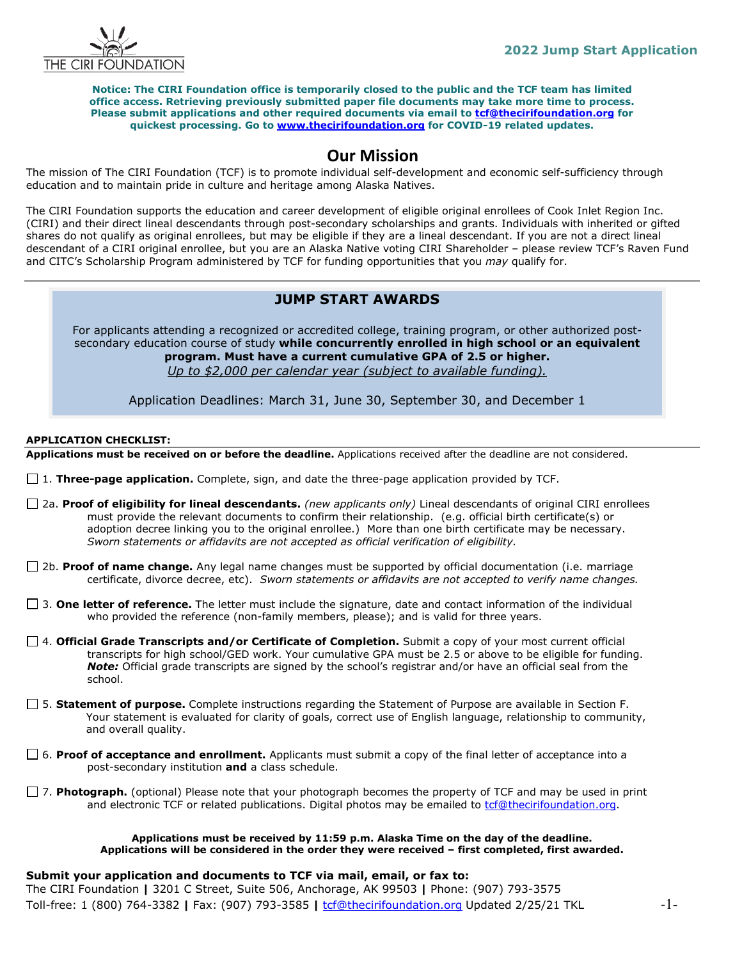

**Notice: The CIRI Foundation office is temporarily closed to the public and the TCF team has limited office access. Retrieving previously submitted paper file documents may take more time to process. Please submit applications and other required documents via email to [tcf@thecirifoundation.org](mailto:tcf@thecirifoundation.org) for quickest processing. Go to [www.thecirifoundation.org](http://www.thecirifoundation.org/) for COVID-19 related updates.**

# **Our Mission**

The mission of The CIRI Foundation (TCF) is to promote individual self-development and economic self-sufficiency through education and to maintain pride in culture and heritage among Alaska Natives.

The CIRI Foundation supports the education and career development of eligible original enrollees of Cook Inlet Region Inc. (CIRI) and their direct lineal descendants through post-secondary scholarships and grants. Individuals with inherited or gifted shares do not qualify as original enrollees, but may be eligible if they are a lineal descendant. If you are not a direct lineal descendant of a CIRI original enrollee, but you are an Alaska Native voting CIRI Shareholder – please review TCF's Raven Fund and CITC's Scholarship Program administered by TCF for funding opportunities that you *may* qualify for.

# **GENERAL SCHOLARSHIPS – JUNE 1999** For **full-time and part-time**, degree-seeking students **JUMP START AWARDS**

For applicants attending a recognized or accredited college, training program, or other authorized postsecondary education course of study **while concurrently enrolled in high school or an equivalent program. Must have a current cumulative GPA of 2.5 or higher.** *Up to \$2,000 per calendar year (subject to available funding).* 

Application Deadlines: March 31, June 30, September 30, and December 1

# **APPLICATION CHECKLIST:**

**Applications must be received on or before the deadline.** Applications received after the deadline are not considered.

- □ 1. **Three-page application.** Complete, sign, and date the three-page application provided by TCF.
- 2a. **Proof of eligibility for lineal descendants.** *(new applicants only)* Lineal descendants of original CIRI enrollees must provide the relevant documents to confirm their relationship. (e.g. official birth certificate(s) or adoption decree linking you to the original enrollee.) More than one birth certificate may be necessary. *Sworn statements or affidavits are not accepted as official verification of eligibility.*
- 2b. **Proof of name change.** Any legal name changes must be supported by official documentation (i.e. marriage certificate, divorce decree, etc). *Sworn statements or affidavits are not accepted to verify name changes.*
- 3. **One letter of reference.** The letter must include the signature, date and contact information of the individual who provided the reference (non-family members, please); and is valid for three years.
- 4. **Official Grade Transcripts and/or Certificate of Completion.** Submit a copy of your most current official transcripts for high school/GED work. Your cumulative GPA must be 2.5 or above to be eligible for funding. *Note:* Official grade transcripts are signed by the school's registrar and/or have an official seal from the school.
- 5. **Statement of purpose.** Complete instructions regarding the Statement of Purpose are available in Section F. Your statement is evaluated for clarity of goals, correct use of English language, relationship to community, and overall quality.
- 6. **Proof of acceptance and enrollment.** Applicants must submit a copy of the final letter of acceptance into a post-secondary institution **and** a class schedule.
- □ 7. **Photograph.** (optional) Please note that your photograph becomes the property of TCF and may be used in print and electronic TCF or related publications. Digital photos may be emailed to [tcf@thecirifoundation.org.](mailto:tcf@thecirifoundation.org)

#### **Applications must be received by 11:59 p.m. Alaska Time on the day of the deadline. Applications will be considered in the order they were received – first completed, first awarded.**

# **Submit your application and documents to TCF via mail, email, or fax to:**

The CIRI Foundation **|** 3201 C Street, Suite 506, Anchorage, AK 99503 **|** Phone: (907) 793-3575 Toll-free: 1 (800) 764-3382 **|** Fax: (907) 793-3585 **|** [tcf@thecirifoundation.org](mailto:tcf@thecirifoundation.org) Updated 2/25/21 TKL -1-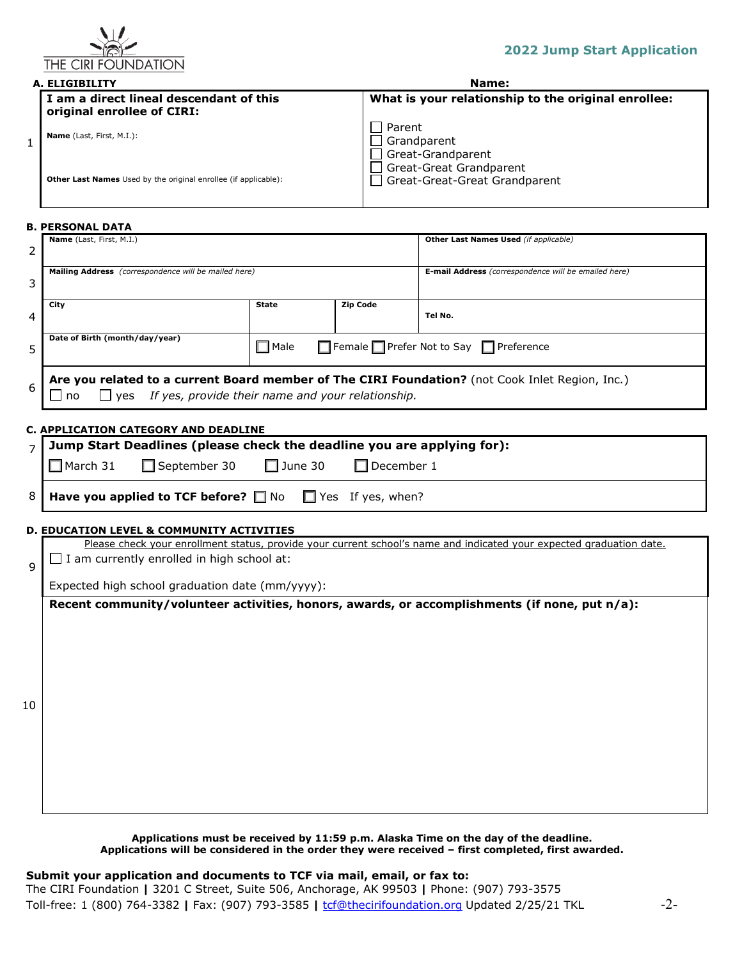

| A. ELIGIBILITY |                                                                       | Name:                                                    |  |  |
|----------------|-----------------------------------------------------------------------|----------------------------------------------------------|--|--|
|                | I am a direct lineal descendant of this<br>original enrollee of CIRI: | What is your relationship to the original enrollee:      |  |  |
|                | <b>Name</b> (Last, First, M.I.):                                      | Parent<br>Grandparent<br>Great-Grandparent               |  |  |
|                | Other Last Names Used by the original enrollee (if applicable):       | Great-Great Grandparent<br>Great-Great-Great Grandparent |  |  |

#### **B. PERSONAL DATA**

| 2  | Name (Last, First, M.I.)                                                                                                                                                   |                                                    |                          | Other Last Names Used (if applicable)                                                         |  |  |  |
|----|----------------------------------------------------------------------------------------------------------------------------------------------------------------------------|----------------------------------------------------|--------------------------|-----------------------------------------------------------------------------------------------|--|--|--|
| 3  | Mailing Address (correspondence will be mailed here)                                                                                                                       |                                                    |                          | E-mail Address (correspondence will be emailed here)                                          |  |  |  |
| 4  | City                                                                                                                                                                       | <b>State</b>                                       | <b>Zip Code</b>          | Tel No.                                                                                       |  |  |  |
| 5  | Date of Birth (month/day/year)                                                                                                                                             | Female Prefer Not to Say Preference<br>$\Box$ Male |                          |                                                                                               |  |  |  |
| 6  | Are you related to a current Board member of The CIRI Foundation? (not Cook Inlet Region, Inc.)<br>If yes, provide their name and your relationship.<br>$\Box$ yes<br>l no |                                                    |                          |                                                                                               |  |  |  |
|    | C. APPLICATION CATEGORY AND DEADLINE                                                                                                                                       |                                                    |                          |                                                                                               |  |  |  |
| 7  | Jump Start Deadlines (please check the deadline you are applying for):                                                                                                     |                                                    |                          |                                                                                               |  |  |  |
|    | □ September 30<br>$\Box$ March 31                                                                                                                                          | $\Box$ June 30                                     | $\Box$ December 1        |                                                                                               |  |  |  |
| 8  | Have you applied to TCF before? $\Box$ No                                                                                                                                  |                                                    | $\Box$ Yes If yes, when? |                                                                                               |  |  |  |
|    | <b>D. EDUCATION LEVEL &amp; COMMUNITY ACTIVITIES</b>                                                                                                                       |                                                    |                          |                                                                                               |  |  |  |
|    | Please check your enrollment status, provide your current school's name and indicated your expected graduation date.                                                       |                                                    |                          |                                                                                               |  |  |  |
| 9  | I am currently enrolled in high school at:<br>$\blacksquare$                                                                                                               |                                                    |                          |                                                                                               |  |  |  |
|    | Expected high school graduation date (mm/yyyy):                                                                                                                            |                                                    |                          |                                                                                               |  |  |  |
| 10 |                                                                                                                                                                            |                                                    |                          | Recent community/volunteer activities, honors, awards, or accomplishments (if none, put n/a): |  |  |  |

## **Applications must be received by 11:59 p.m. Alaska Time on the day of the deadline. Applications will be considered in the order they were received – first completed, first awarded.**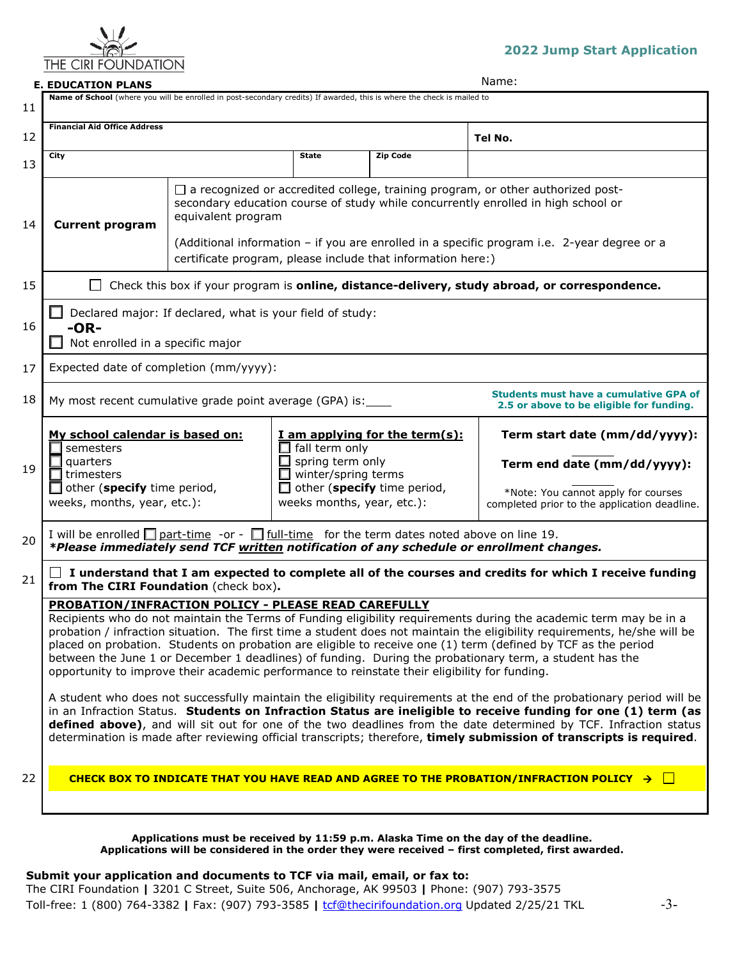

# **2022 Jump Start Application**

# **E. EDUCATION PLANS** Name:

| 11       | Name of School (where you will be enrolled in post-secondary credits) If awarded, this is where the check is mailed to                                                                                                                                                                                                                                                                                                                                                                                                                                                                                                                                                                                                                                                                                                                                                                                                                                                                                                                                                                                                                                                                                                                                                               |                                                                                                                                                      |                                                                         |                                                                                                    |                                                                                                                                                                                                                                                                            |  |
|----------|--------------------------------------------------------------------------------------------------------------------------------------------------------------------------------------------------------------------------------------------------------------------------------------------------------------------------------------------------------------------------------------------------------------------------------------------------------------------------------------------------------------------------------------------------------------------------------------------------------------------------------------------------------------------------------------------------------------------------------------------------------------------------------------------------------------------------------------------------------------------------------------------------------------------------------------------------------------------------------------------------------------------------------------------------------------------------------------------------------------------------------------------------------------------------------------------------------------------------------------------------------------------------------------|------------------------------------------------------------------------------------------------------------------------------------------------------|-------------------------------------------------------------------------|----------------------------------------------------------------------------------------------------|----------------------------------------------------------------------------------------------------------------------------------------------------------------------------------------------------------------------------------------------------------------------------|--|
| 12       | <b>Financial Aid Office Address</b>                                                                                                                                                                                                                                                                                                                                                                                                                                                                                                                                                                                                                                                                                                                                                                                                                                                                                                                                                                                                                                                                                                                                                                                                                                                  |                                                                                                                                                      |                                                                         |                                                                                                    | Tel No.                                                                                                                                                                                                                                                                    |  |
| 13       | City                                                                                                                                                                                                                                                                                                                                                                                                                                                                                                                                                                                                                                                                                                                                                                                                                                                                                                                                                                                                                                                                                                                                                                                                                                                                                 |                                                                                                                                                      | <b>State</b>                                                            | <b>Zip Code</b>                                                                                    |                                                                                                                                                                                                                                                                            |  |
| 14       | <b>Current program</b>                                                                                                                                                                                                                                                                                                                                                                                                                                                                                                                                                                                                                                                                                                                                                                                                                                                                                                                                                                                                                                                                                                                                                                                                                                                               | equivalent program<br>certificate program, please include that information here:)                                                                    |                                                                         |                                                                                                    | $\Box$ a recognized or accredited college, training program, or other authorized post-<br>secondary education course of study while concurrently enrolled in high school or<br>(Additional information - if you are enrolled in a specific program i.e. 2-year degree or a |  |
| 15       |                                                                                                                                                                                                                                                                                                                                                                                                                                                                                                                                                                                                                                                                                                                                                                                                                                                                                                                                                                                                                                                                                                                                                                                                                                                                                      |                                                                                                                                                      |                                                                         |                                                                                                    | Check this box if your program is online, distance-delivery, study abroad, or correspondence.                                                                                                                                                                              |  |
| 16       | Declared major: If declared, what is your field of study:<br>$-OR-$<br>Not enrolled in a specific major                                                                                                                                                                                                                                                                                                                                                                                                                                                                                                                                                                                                                                                                                                                                                                                                                                                                                                                                                                                                                                                                                                                                                                              |                                                                                                                                                      |                                                                         |                                                                                                    |                                                                                                                                                                                                                                                                            |  |
| 17       | Expected date of completion (mm/yyyy):                                                                                                                                                                                                                                                                                                                                                                                                                                                                                                                                                                                                                                                                                                                                                                                                                                                                                                                                                                                                                                                                                                                                                                                                                                               |                                                                                                                                                      |                                                                         |                                                                                                    |                                                                                                                                                                                                                                                                            |  |
| 18       |                                                                                                                                                                                                                                                                                                                                                                                                                                                                                                                                                                                                                                                                                                                                                                                                                                                                                                                                                                                                                                                                                                                                                                                                                                                                                      | <b>Students must have a cumulative GPA of</b><br>My most recent cumulative grade point average (GPA) is:<br>2.5 or above to be eligible for funding. |                                                                         |                                                                                                    |                                                                                                                                                                                                                                                                            |  |
| 19<br>20 | My school calendar is based on:<br>semesters<br>quarters<br>trimesters<br>$\Box$ other (specify time period,<br>weeks, months, year, etc.):<br>I will be enrolled $\Box$ part-time -or - $\Box$ full-time for the term dates noted above on line 19.                                                                                                                                                                                                                                                                                                                                                                                                                                                                                                                                                                                                                                                                                                                                                                                                                                                                                                                                                                                                                                 |                                                                                                                                                      | $\Box$ fall term only<br>spring term only<br>$\Box$ winter/spring terms | I am applying for the term(s):<br>$\Box$ other (specify time period,<br>weeks months, year, etc.): | Term start date (mm/dd/yyyy):<br>Term end date (mm/dd/yyyy):<br>*Note: You cannot apply for courses<br>completed prior to the application deadline.                                                                                                                        |  |
|          |                                                                                                                                                                                                                                                                                                                                                                                                                                                                                                                                                                                                                                                                                                                                                                                                                                                                                                                                                                                                                                                                                                                                                                                                                                                                                      |                                                                                                                                                      |                                                                         |                                                                                                    | *Please immediately send TCF written notification of any schedule or enrollment changes.                                                                                                                                                                                   |  |
| 21       | $\Box$ I understand that I am expected to complete all of the courses and credits for which I receive funding<br>from The CIRI Foundation (check box).<br>PROBATION/INFRACTION POLICY - PLEASE READ CAREFULLY<br>Recipients who do not maintain the Terms of Funding eligibility requirements during the academic term may be in a<br>probation / infraction situation. The first time a student does not maintain the eligibility requirements, he/she will be<br>placed on probation. Students on probation are eligible to receive one (1) term (defined by TCF as the period<br>between the June 1 or December 1 deadlines) of funding. During the probationary term, a student has the<br>opportunity to improve their academic performance to reinstate their eligibility for funding.<br>A student who does not successfully maintain the eligibility requirements at the end of the probationary period will be<br>in an Infraction Status. Students on Infraction Status are ineligible to receive funding for one (1) term (as<br>defined above), and will sit out for one of the two deadlines from the date determined by TCF. Infraction status<br>determination is made after reviewing official transcripts; therefore, timely submission of transcripts is required. |                                                                                                                                                      |                                                                         |                                                                                                    |                                                                                                                                                                                                                                                                            |  |
| 22       |                                                                                                                                                                                                                                                                                                                                                                                                                                                                                                                                                                                                                                                                                                                                                                                                                                                                                                                                                                                                                                                                                                                                                                                                                                                                                      |                                                                                                                                                      |                                                                         |                                                                                                    | CHECK BOX TO INDICATE THAT YOU HAVE READ AND AGREE TO THE PROBATION/INFRACTION POLICY $\rightarrow$                                                                                                                                                                        |  |
|          |                                                                                                                                                                                                                                                                                                                                                                                                                                                                                                                                                                                                                                                                                                                                                                                                                                                                                                                                                                                                                                                                                                                                                                                                                                                                                      |                                                                                                                                                      |                                                                         |                                                                                                    |                                                                                                                                                                                                                                                                            |  |

**Applications must be received by 11:59 p.m. Alaska Time on the day of the deadline. Applications will be considered in the order they were received – first completed, first awarded.**

**Submit your application and documents to TCF via mail, email, or fax to:**  The CIRI Foundation **|** 3201 C Street, Suite 506, Anchorage, AK 99503 **|** Phone: (907) 793-3575 Toll-free: 1 (800) 764-3382 **|** Fax: (907) 793-3585 **|** [tcf@thecirifoundation.org](mailto:tcf@thecirifoundation.org) Updated 2/25/21 TKL -3-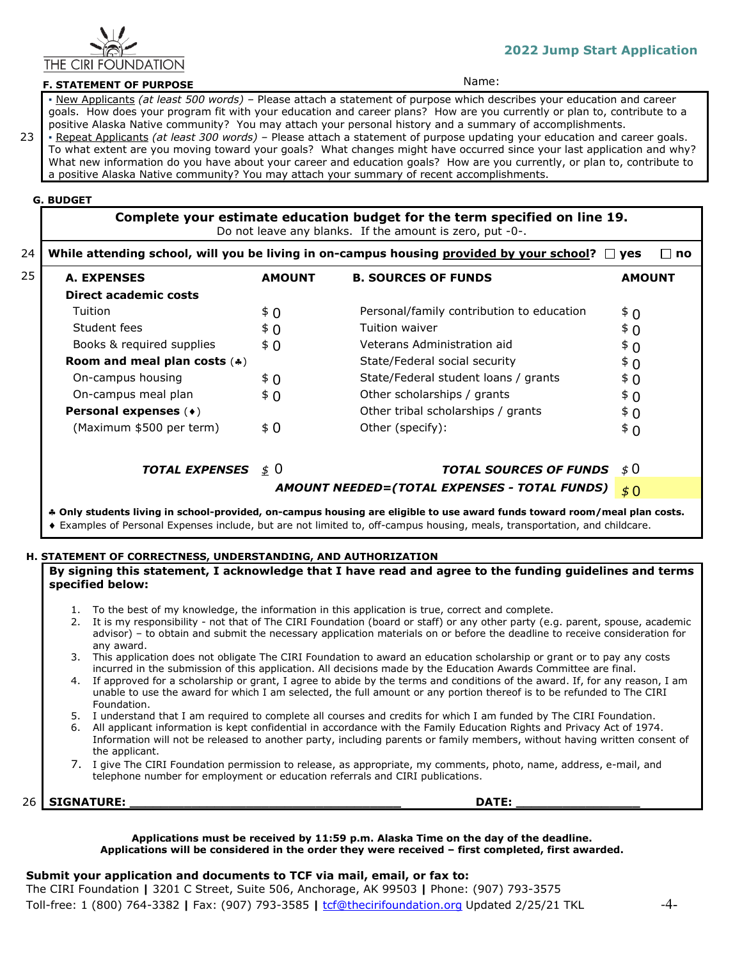

# **2022 Jump Start Application**

# **F. STATEMENT OF PURPOSE Name:** Name:

 23 *▪* New Applicants *(at least 500 words) –* Please attach a statement of purpose which describes your education and career goals. How does your program fit with your education and career plans? How are you currently or plan to, contribute to a positive Alaska Native community? You may attach your personal history and a summary of accomplishments. *▪* Repeat Applicants *(at least 300 words) –* Please attach a statement of purpose updating your education and career goals.

To what extent are you moving toward your goals? What changes might have occurred since your last application and why? What new information do you have about your career and education goals? How are you currently, or plan to, contribute to a positive Alaska Native community? You may attach your summary of recent accomplishments.

## **G. BUDGET**

**Complete your estimate education budget for the term specified on line 19.**  Do not leave any blanks. If the amount is zero, put -0-.

| 24 | While attending school, will you be living in on-campus housing provided by your school? $\Box$ yes<br>⊟ no |                 |                                              |               |  |
|----|-------------------------------------------------------------------------------------------------------------|-----------------|----------------------------------------------|---------------|--|
| 25 | <b>A. EXPENSES</b>                                                                                          | <b>AMOUNT</b>   | <b>B. SOURCES OF FUNDS</b>                   | <b>AMOUNT</b> |  |
|    | Direct academic costs                                                                                       |                 |                                              |               |  |
|    | Tuition                                                                                                     | \$0             | Personal/family contribution to education    | \$ 0          |  |
|    | Student fees                                                                                                | \$ 0            | Tuition waiver                               | \$ 0          |  |
|    | Books & required supplies                                                                                   | \$0             | Veterans Administration aid                  | \$ 0          |  |
|    | Room and meal plan costs $(*)$                                                                              |                 | State/Federal social security                | \$ 0          |  |
|    | On-campus housing                                                                                           | \$ 0            | State/Federal student loans / grants         | \$ 0          |  |
|    | On-campus meal plan                                                                                         | \$ 0            | Other scholarships / grants                  | \$ 0          |  |
|    | Personal expenses (+)                                                                                       |                 | Other tribal scholarships / grants           | \$ 0          |  |
|    | (Maximum \$500 per term)                                                                                    | \$0             | Other (specify):                             | $\bar{5}$ 0   |  |
|    | <b>TOTAL EXPENSES</b>                                                                                       | $\frac{1}{2}$ 0 | <b>TOTAL SOURCES OF FUNDS</b>                | \$ 0          |  |
|    |                                                                                                             |                 | AMOUNT NEEDED=(TOTAL EXPENSES - TOTAL FUNDS) | \$0           |  |

### ♣ **Only students living in school-provided, on-campus housing are eligible to use award funds toward room/meal plan costs.**

♦ Examples of Personal Expenses include, but are not limited to, off-campus housing, meals, transportation, and childcare.

#### **H. STATEMENT OF CORRECTNESS, UNDERSTANDING, AND AUTHORIZATION**

## **By signing this statement, I acknowledge that I have read and agree to the funding guidelines and terms specified below:**

- 1. To the best of my knowledge, the information in this application is true, correct and complete.
- 2. It is my responsibility not that of The CIRI Foundation (board or staff) or any other party (e.g. parent, spouse, academic advisor) – to obtain and submit the necessary application materials on or before the deadline to receive consideration for any award.
- 3. This application does not obligate The CIRI Foundation to award an education scholarship or grant or to pay any costs incurred in the submission of this application. All decisions made by the Education Awards Committee are final.
- 4. If approved for a scholarship or grant, I agree to abide by the terms and conditions of the award. If, for any reason, I am unable to use the award for which I am selected, the full amount or any portion thereof is to be refunded to The CIRI Foundation.
- 5. I understand that I am required to complete all courses and credits for which I am funded by The CIRI Foundation.<br>6. All applicant information is kept confidential in accordance with the Family Education Rights and Priv
- 6. All applicant information is kept confidential in accordance with the Family Education Rights and Privacy Act of 1974. Information will not be released to another party, including parents or family members, without having written consent of the applicant.
- 7. I give The CIRI Foundation permission to release, as appropriate, my comments, photo, name, address, e-mail, and telephone number for employment or education referrals and CIRI publications.

26 **SIGNATURE: \_\_\_\_\_\_\_\_\_\_\_\_\_\_\_\_\_\_\_\_\_\_\_\_\_\_\_\_\_\_\_\_\_\_\_ DATE: \_\_\_\_\_\_\_\_\_\_\_\_\_\_\_\_**

#### **Applications must be received by 11:59 p.m. Alaska Time on the day of the deadline. Applications will be considered in the order they were received – first completed, first awarded.**

#### **Submit your application and documents to TCF via mail, email, or fax to:**

The CIRI Foundation **|** 3201 C Street, Suite 506, Anchorage, AK 99503 **|** Phone: (907) 793-3575 Toll-free: 1 (800) 764-3382 **|** Fax: (907) 793-3585 **|** [tcf@thecirifoundation.org](mailto:tcf@thecirifoundation.org) Updated 2/25/21 TKL -4-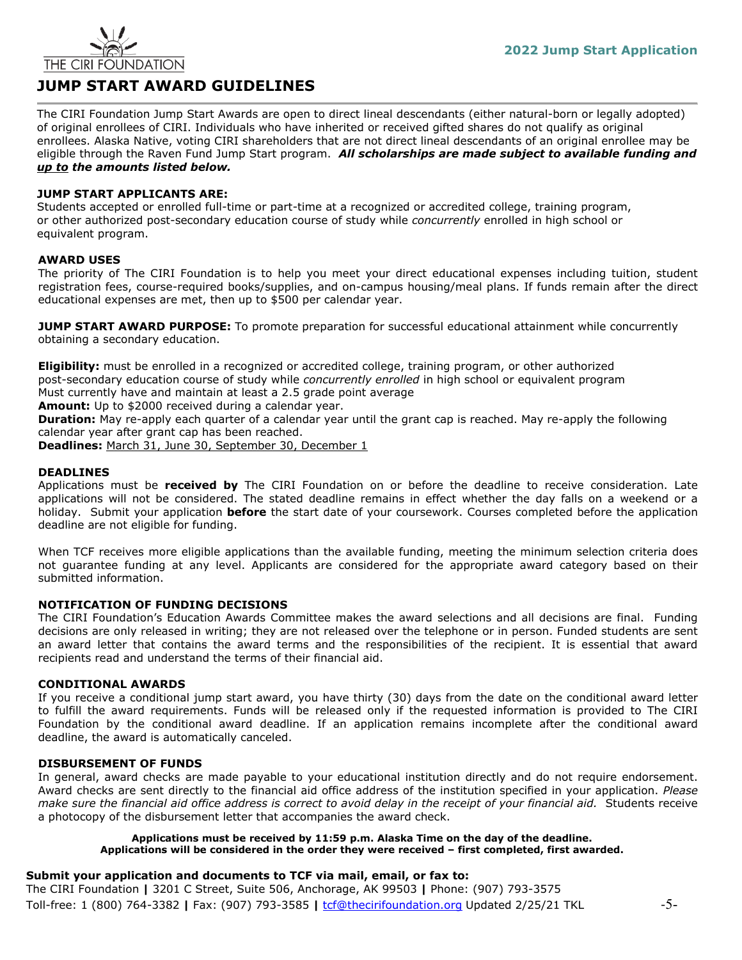

# **JUMP START AWARD GUIDELINES**

The CIRI Foundation Jump Start Awards are open to direct lineal descendants (either natural-born or legally adopted) of original enrollees of CIRI. Individuals who have inherited or received gifted shares do not qualify as original enrollees. Alaska Native, voting CIRI shareholders that are not direct lineal descendants of an original enrollee may be eligible through the Raven Fund Jump Start program. *All scholarships are made subject to available funding and up to the amounts listed below.*

# **JUMP START APPLICANTS ARE:**

Students accepted or enrolled full-time or part-time at a recognized or accredited college, training program, or other authorized post-secondary education course of study while *concurrently* enrolled in high school or equivalent program.

# **AWARD USES**

The priority of The CIRI Foundation is to help you meet your direct educational expenses including tuition, student registration fees, course-required books/supplies, and on-campus housing/meal plans. If funds remain after the direct educational expenses are met, then up to \$500 per calendar year.

**JUMP START AWARD PURPOSE:** To promote preparation for successful educational attainment while concurrently obtaining a secondary education.

**Eligibility:** must be enrolled in a recognized or accredited college, training program, or other authorized post-secondary education course of study while *concurrently enrolled* in high school or equivalent program Must currently have and maintain at least a 2.5 grade point average

**Amount:** Up to \$2000 received during a calendar year.

**Duration:** May re-apply each quarter of a calendar year until the grant cap is reached. May re-apply the following calendar year after grant cap has been reached.

**Deadlines:** March 31, June 30, September 30, December 1

# **DEADLINES**

Applications must be **received by** The CIRI Foundation on or before the deadline to receive consideration. Late applications will not be considered. The stated deadline remains in effect whether the day falls on a weekend or a holiday. Submit your application **before** the start date of your coursework. Courses completed before the application deadline are not eligible for funding.

When TCF receives more eligible applications than the available funding, meeting the minimum selection criteria does not guarantee funding at any level. Applicants are considered for the appropriate award category based on their submitted information.

## **NOTIFICATION OF FUNDING DECISIONS**

The CIRI Foundation's Education Awards Committee makes the award selections and all decisions are final. Funding decisions are only released in writing; they are not released over the telephone or in person. Funded students are sent an award letter that contains the award terms and the responsibilities of the recipient. It is essential that award recipients read and understand the terms of their financial aid.

## **CONDITIONAL AWARDS**

If you receive a conditional jump start award, you have thirty (30) days from the date on the conditional award letter to fulfill the award requirements. Funds will be released only if the requested information is provided to The CIRI Foundation by the conditional award deadline. If an application remains incomplete after the conditional award deadline, the award is automatically canceled.

## **DISBURSEMENT OF FUNDS**

In general, award checks are made payable to your educational institution directly and do not require endorsement. Award checks are sent directly to the financial aid office address of the institution specified in your application. *Please make sure the financial aid office address is correct to avoid delay in the receipt of your financial aid.* Students receive a photocopy of the disbursement letter that accompanies the award check.

## **Applications must be received by 11:59 p.m. Alaska Time on the day of the deadline. Applications will be considered in the order they were received – first completed, first awarded.**

# **Submit your application and documents to TCF via mail, email, or fax to:**

The CIRI Foundation **|** 3201 C Street, Suite 506, Anchorage, AK 99503 **|** Phone: (907) 793-3575 Toll-free: 1 (800) 764-3382 **|** Fax: (907) 793-3585 **|** [tcf@thecirifoundation.org](mailto:tcf@thecirifoundation.org) Updated 2/25/21 TKL -5-